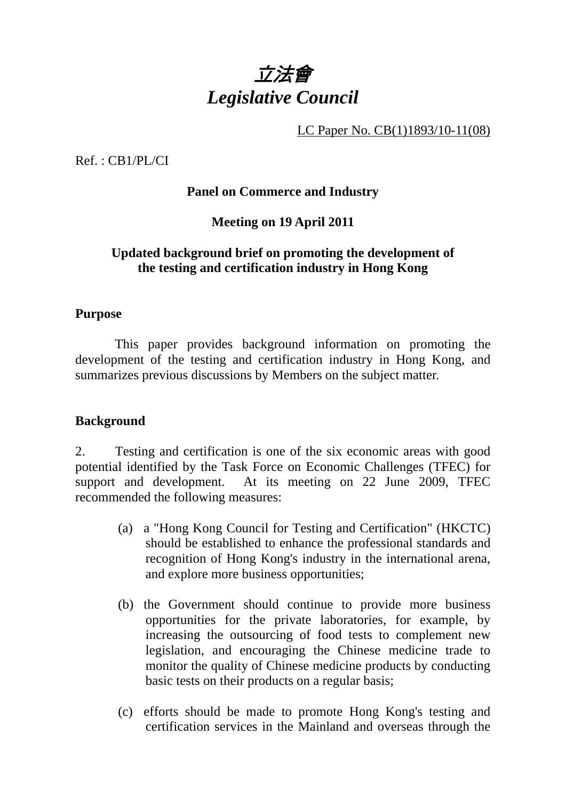

LC Paper No. CB(1)1893/10-11(08)

Ref. : CB1/PL/CI

### **Panel on Commerce and Industry**

**Meeting on 19 April 2011** 

### **Updated background brief on promoting the development of the testing and certification industry in Hong Kong**

#### **Purpose**

 This paper provides background information on promoting the development of the testing and certification industry in Hong Kong, and summarizes previous discussions by Members on the subject matter.

### **Background**

2. Testing and certification is one of the six economic areas with good potential identified by the Task Force on Economic Challenges (TFEC) for support and development. At its meeting on 22 June 2009, TFEC recommended the following measures:

- (a) a "Hong Kong Council for Testing and Certification" (HKCTC) should be established to enhance the professional standards and recognition of Hong Kong's industry in the international arena, and explore more business opportunities;
- (b) the Government should continue to provide more business opportunities for the private laboratories, for example, by increasing the outsourcing of food tests to complement new legislation, and encouraging the Chinese medicine trade to monitor the quality of Chinese medicine products by conducting basic tests on their products on a regular basis;
- (c) efforts should be made to promote Hong Kong's testing and certification services in the Mainland and overseas through the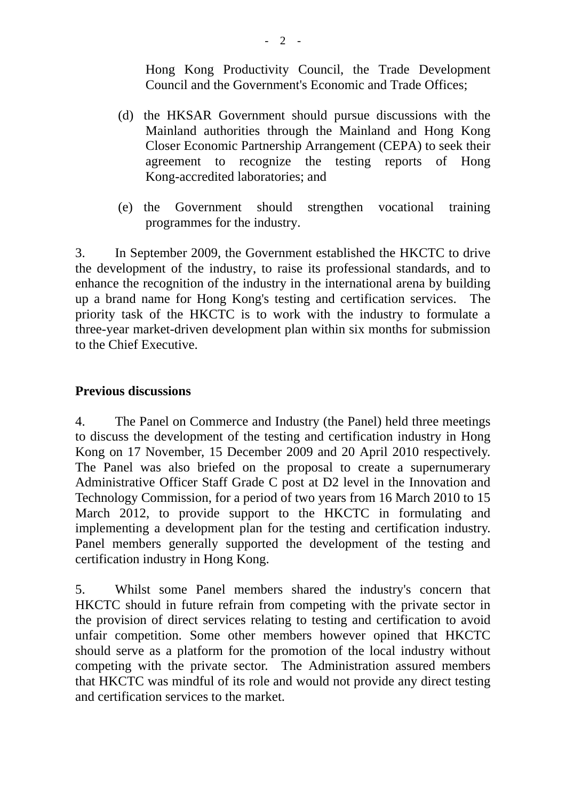Hong Kong Productivity Council, the Trade Development Council and the Government's Economic and Trade Offices;

- (d) the HKSAR Government should pursue discussions with the Mainland authorities through the Mainland and Hong Kong Closer Economic Partnership Arrangement (CEPA) to seek their agreement to recognize the testing reports of Hong Kong-accredited laboratories; and
- (e) the Government should strengthen vocational training programmes for the industry.

3. In September 2009, the Government established the HKCTC to drive the development of the industry, to raise its professional standards, and to enhance the recognition of the industry in the international arena by building up a brand name for Hong Kong's testing and certification services. The priority task of the HKCTC is to work with the industry to formulate a three-year market-driven development plan within six months for submission to the Chief Executive.

### **Previous discussions**

4. The Panel on Commerce and Industry (the Panel) held three meetings to discuss the development of the testing and certification industry in Hong Kong on 17 November, 15 December 2009 and 20 April 2010 respectively. The Panel was also briefed on the proposal to create a supernumerary Administrative Officer Staff Grade C post at D2 level in the Innovation and Technology Commission, for a period of two years from 16 March 2010 to 15 March 2012, to provide support to the HKCTC in formulating and implementing a development plan for the testing and certification industry. Panel members generally supported the development of the testing and certification industry in Hong Kong.

5. Whilst some Panel members shared the industry's concern that HKCTC should in future refrain from competing with the private sector in the provision of direct services relating to testing and certification to avoid unfair competition. Some other members however opined that HKCTC should serve as a platform for the promotion of the local industry without competing with the private sector. The Administration assured members that HKCTC was mindful of its role and would not provide any direct testing and certification services to the market.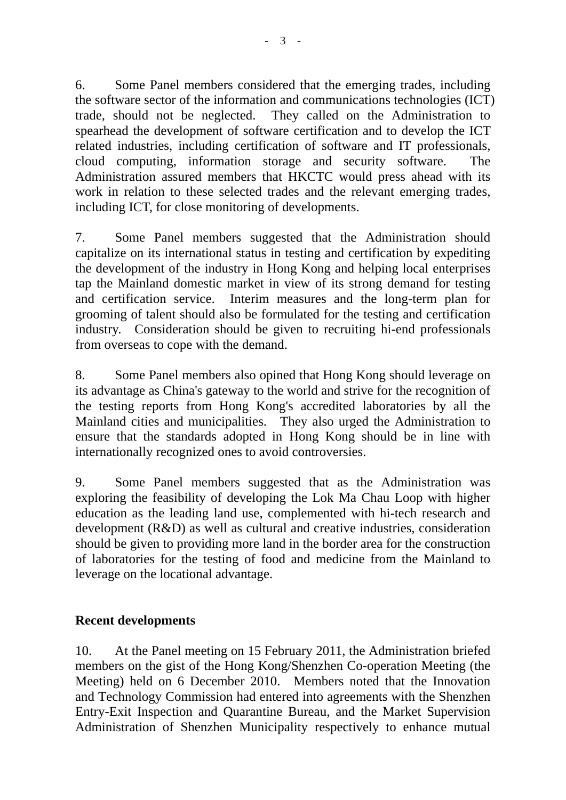6. Some Panel members considered that the emerging trades, including the software sector of the information and communications technologies (ICT) trade, should not be neglected. They called on the Administration to spearhead the development of software certification and to develop the ICT related industries, including certification of software and IT professionals, cloud computing, information storage and security software. The Administration assured members that HKCTC would press ahead with its work in relation to these selected trades and the relevant emerging trades, including ICT, for close monitoring of developments.

7. Some Panel members suggested that the Administration should capitalize on its international status in testing and certification by expediting the development of the industry in Hong Kong and helping local enterprises tap the Mainland domestic market in view of its strong demand for testing and certification service. Interim measures and the long-term plan for grooming of talent should also be formulated for the testing and certification industry. Consideration should be given to recruiting hi-end professionals from overseas to cope with the demand.

8. Some Panel members also opined that Hong Kong should leverage on its advantage as China's gateway to the world and strive for the recognition of the testing reports from Hong Kong's accredited laboratories by all the Mainland cities and municipalities. They also urged the Administration to ensure that the standards adopted in Hong Kong should be in line with internationally recognized ones to avoid controversies.

9. Some Panel members suggested that as the Administration was exploring the feasibility of developing the Lok Ma Chau Loop with higher education as the leading land use, complemented with hi-tech research and development (R&D) as well as cultural and creative industries, consideration should be given to providing more land in the border area for the construction of laboratories for the testing of food and medicine from the Mainland to leverage on the locational advantage.

# **Recent developments**

10. At the Panel meeting on 15 February 2011, the Administration briefed members on the gist of the Hong Kong/Shenzhen Co-operation Meeting (the Meeting) held on 6 December 2010. Members noted that the Innovation and Technology Commission had entered into agreements with the Shenzhen Entry-Exit Inspection and Quarantine Bureau, and the Market Supervision Administration of Shenzhen Municipality respectively to enhance mutual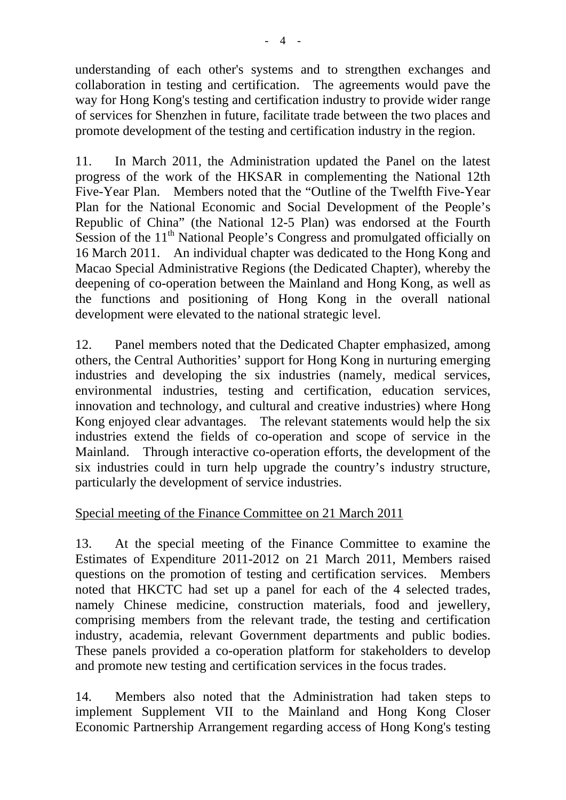understanding of each other's systems and to strengthen exchanges and collaboration in testing and certification. The agreements would pave the way for Hong Kong's testing and certification industry to provide wider range of services for Shenzhen in future, facilitate trade between the two places and promote development of the testing and certification industry in the region.

11. In March 2011, the Administration updated the Panel on the latest progress of the work of the HKSAR in complementing the National 12th Five-Year Plan. Members noted that the "Outline of the Twelfth Five-Year Plan for the National Economic and Social Development of the People's Republic of China" (the National 12-5 Plan) was endorsed at the Fourth Session of the  $11<sup>th</sup>$  National People's Congress and promulgated officially on 16 March 2011. An individual chapter was dedicated to the Hong Kong and Macao Special Administrative Regions (the Dedicated Chapter), whereby the deepening of co-operation between the Mainland and Hong Kong, as well as the functions and positioning of Hong Kong in the overall national development were elevated to the national strategic level.

12. Panel members noted that the Dedicated Chapter emphasized, among others, the Central Authorities' support for Hong Kong in nurturing emerging industries and developing the six industries (namely, medical services, environmental industries, testing and certification, education services, innovation and technology, and cultural and creative industries) where Hong Kong enjoyed clear advantages. The relevant statements would help the six industries extend the fields of co-operation and scope of service in the Mainland. Through interactive co-operation efforts, the development of the six industries could in turn help upgrade the country's industry structure, particularly the development of service industries.

# Special meeting of the Finance Committee on 21 March 2011

13. At the special meeting of the Finance Committee to examine the Estimates of Expenditure 2011-2012 on 21 March 2011, Members raised questions on the promotion of testing and certification services. Members noted that HKCTC had set up a panel for each of the 4 selected trades, namely Chinese medicine, construction materials, food and jewellery, comprising members from the relevant trade, the testing and certification industry, academia, relevant Government departments and public bodies. These panels provided a co-operation platform for stakeholders to develop and promote new testing and certification services in the focus trades.

14. Members also noted that the Administration had taken steps to implement Supplement VII to the Mainland and Hong Kong Closer Economic Partnership Arrangement regarding access of Hong Kong's testing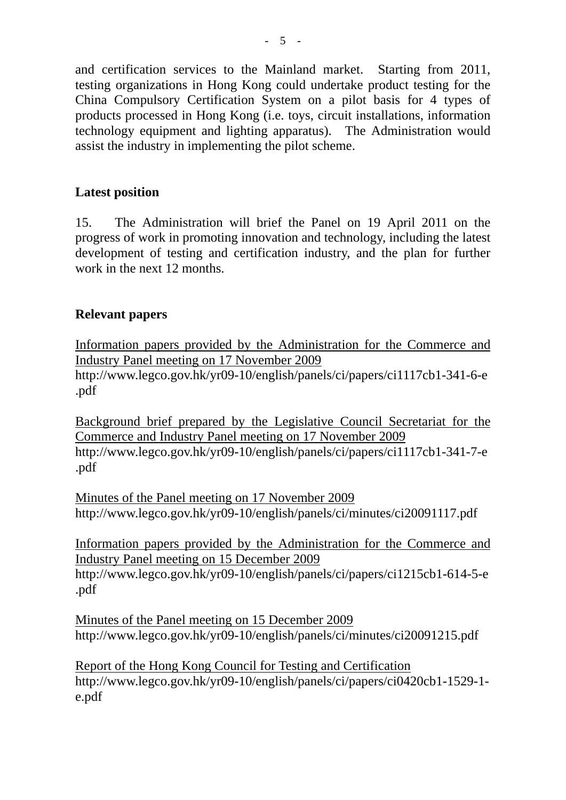and certification services to the Mainland market. Starting from 2011, testing organizations in Hong Kong could undertake product testing for the China Compulsory Certification System on a pilot basis for 4 types of products processed in Hong Kong (i.e. toys, circuit installations, information technology equipment and lighting apparatus). The Administration would assist the industry in implementing the pilot scheme.

## **Latest position**

15. The Administration will brief the Panel on 19 April 2011 on the progress of work in promoting innovation and technology, including the latest development of testing and certification industry, and the plan for further work in the next 12 months.

### **Relevant papers**

Information papers provided by the Administration for the Commerce and Industry Panel meeting on 17 November 2009 http://www.legco.gov.hk/yr09-10/english/panels/ci/papers/ci1117cb1-341-6-e .pdf

Background brief prepared by the Legislative Council Secretariat for the Commerce and Industry Panel meeting on 17 November 2009 http://www.legco.gov.hk/yr09-10/english/panels/ci/papers/ci1117cb1-341-7-e .pdf

Minutes of the Panel meeting on 17 November 2009 http://www.legco.gov.hk/yr09-10/english/panels/ci/minutes/ci20091117.pdf

Information papers provided by the Administration for the Commerce and Industry Panel meeting on 15 December 2009 http://www.legco.gov.hk/yr09-10/english/panels/ci/papers/ci1215cb1-614-5-e .pdf

Minutes of the Panel meeting on 15 December 2009 http://www.legco.gov.hk/yr09-10/english/panels/ci/minutes/ci20091215.pdf

Report of the Hong Kong Council for Testing and Certification http://www.legco.gov.hk/yr09-10/english/panels/ci/papers/ci0420cb1-1529-1 e.pdf